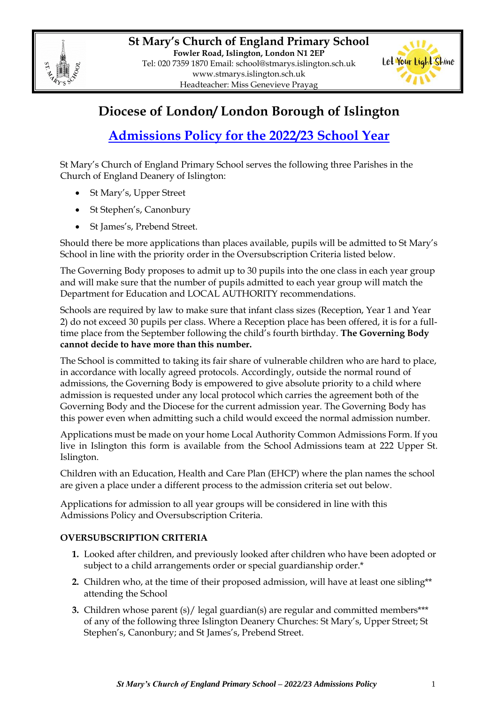



## **Diocese of London/ London Borough of Islington**

# **Admissions Policy for the 2022/23 School Year**

St Mary's Church of England Primary School serves the following three Parishes in the Church of England Deanery of Islington:

- St Mary's, Upper Street
- St Stephen's, Canonbury
- St James's, Prebend Street.

Should there be more applications than places available, pupils will be admitted to St Mary's School in line with the priority order in the Oversubscription Criteria listed below.

The Governing Body proposes to admit up to 30 pupils into the one class in each year group and will make sure that the number of pupils admitted to each year group will match the Department for Education and LOCAL AUTHORITY recommendations.

Schools are required by law to make sure that infant class sizes (Reception, Year 1 and Year 2) do not exceed 30 pupils per class. Where a Reception place has been offered, it is for a fulltime place from the September following the child's fourth birthday. **The Governing Body cannot decide to have more than this number.**

The School is committed to taking its fair share of vulnerable children who are hard to place, in accordance with locally agreed protocols. Accordingly, outside the normal round of admissions, the Governing Body is empowered to give absolute priority to a child where admission is requested under any local protocol which carries the agreement both of the Governing Body and the Diocese for the current admission year. The Governing Body has this power even when admitting such a child would exceed the normal admission number.

Applications must be made on your home Local Authority Common Admissions Form. If you live in Islington this form is available from the School Admissions team at 222 Upper St. Islington.

Children with an Education, Health and Care Plan (EHCP) where the plan names the school are given a place under a different process to the admission criteria set out below.

Applications for admission to all year groups will be considered in line with this Admissions Policy and Oversubscription Criteria.

### **OVERSUBSCRIPTION CRITERIA**

- **1.** Looked after children, and previously looked after children who have been adopted or subject to a child arrangements order or special guardianship order.\*
- **2.** Children who, at the time of their proposed admission, will have at least one sibling\*\* attending the School
- **3.** Children whose parent (s)/ legal guardian(s) are regular and committed members\*\*\* of any of the following three Islington Deanery Churches: St Mary's, Upper Street; St Stephen's, Canonbury; and St James's, Prebend Street.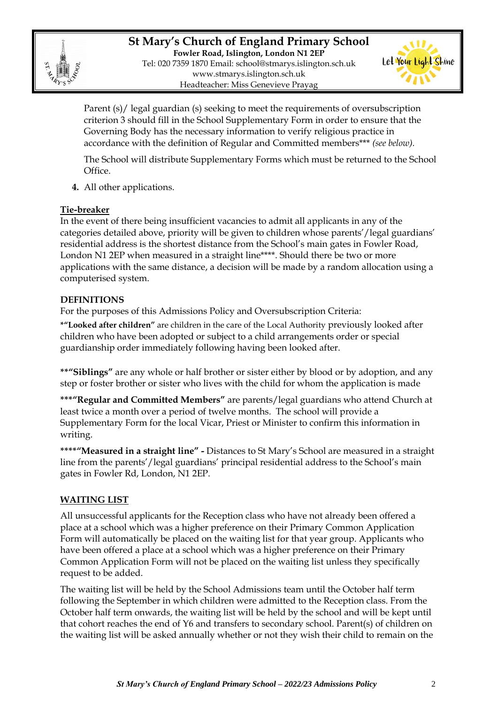

**St Mary's Church of England Primary School Fowler Road, Islington, London N1 2EP** Tel: 020 7359 1870 Email: [school@stmarys.islington.sch.uk](mailto:school@stmarys.islington.sch.uk) [www.stmarys.islington.sch.uk](http://www.stmarys.islington.sch.uk/) Headteacher: Miss Genevieve Prayag



Parent (s)/ legal guardian (s) seeking to meet the requirements of oversubscription criterion 3 should fill in the School Supplementary Form in order to ensure that the Governing Body has the necessary information to verify religious practice in accordance with the definition of Regular and Committed members\*\*\* *(see below).*

The School will distribute Supplementary Forms which must be returned to the School Office.

**4.** All other applications.

#### **Tie-breaker**

In the event of there being insufficient vacancies to admit all applicants in any of the categories detailed above, priority will be given to children whose parents'/legal guardians' residential address is the shortest distance from the School's main gates in Fowler Road, London N1 2EP when measured in a straight line\*\*\*\*. Should there be two or more applications with the same distance, a decision will be made by a random allocation using a computerised system.

#### **DEFINITIONS**

For the purposes of this Admissions Policy and Oversubscription Criteria:

**\*"Looked after children"** are children in the care of the Local Authority previously looked after children who have been adopted or subject to a child arrangements order or special guardianship order immediately following having been looked after.

**\*\*"Siblings"** are any whole or half brother or sister either by blood or by adoption, and any step or foster brother or sister who lives with the child for whom the application is made

**\*\*\*"Regular and Committed Members"** are parents/legal guardians who attend Church at least twice a month over a period of twelve months. The school will provide a Supplementary Form for the local Vicar, Priest or Minister to confirm this information in writing.

**\*\*\*\*"Measured in a straight line" -** Distances to St Mary's School are measured in a straight line from the parents'/legal guardians' principal residential address to the School's main gates in Fowler Rd, London, N1 2EP.

#### **WAITING LIST**

All unsuccessful applicants for the Reception class who have not already been offered a place at a school which was a higher preference on their Primary Common Application Form will automatically be placed on the waiting list for that year group. Applicants who have been offered a place at a school which was a higher preference on their Primary Common Application Form will not be placed on the waiting list unless they specifically request to be added.

The waiting list will be held by the School Admissions team until the October half term following the September in which children were admitted to the Reception class. From the October half term onwards, the waiting list will be held by the school and will be kept until that cohort reaches the end of Y6 and transfers to secondary school. Parent(s) of children on the waiting list will be asked annually whether or not they wish their child to remain on the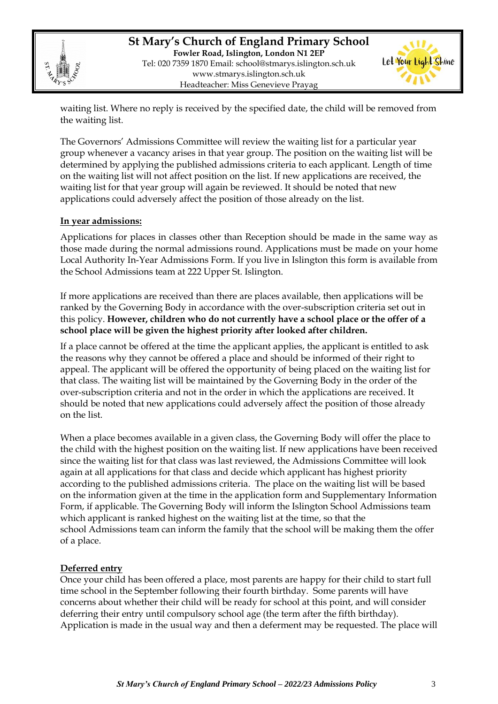

**St Mary's Church of England Primary School Fowler Road, Islington, London N1 2EP** Tel: 020 7359 1870 Email: [school@stmarys.islington.sch.uk](mailto:school@stmarys.islington.sch.uk) [www.stmarys.islington.sch.uk](http://www.stmarys.islington.sch.uk/) Headteacher: Miss Genevieve Prayag



waiting list. Where no reply is received by the specified date, the child will be removed from the waiting list.

The Governors' Admissions Committee will review the waiting list for a particular year group whenever a vacancy arises in that year group. The position on the waiting list will be determined by applying the published admissions criteria to each applicant. Length of time on the waiting list will not affect position on the list. If new applications are received, the waiting list for that year group will again be reviewed. It should be noted that new applications could adversely affect the position of those already on the list.

#### **In year admissions:**

Applications for places in classes other than Reception should be made in the same way as those made during the normal admissions round. Applications must be made on your home Local Authority In-Year Admissions Form. If you live in Islington this form is available from the School Admissions team at 222 Upper St. Islington.

If more applications are received than there are places available, then applications will be ranked by the Governing Body in accordance with the over-subscription criteria set out in this policy. **However, children who do not currently have a school place or the offer of a school place will be given the highest priority after looked after children.** 

If a place cannot be offered at the time the applicant applies, the applicant is entitled to ask the reasons why they cannot be offered a place and should be informed of their right to appeal. The applicant will be offered the opportunity of being placed on the waiting list for that class. The waiting list will be maintained by the Governing Body in the order of the over-subscription criteria and not in the order in which the applications are received. It should be noted that new applications could adversely affect the position of those already on the list.

When a place becomes available in a given class, the Governing Body will offer the place to the child with the highest position on the waiting list. If new applications have been received since the waiting list for that class was last reviewed, the Admissions Committee will look again at all applications for that class and decide which applicant has highest priority according to the published admissions criteria. The place on the waiting list will be based on the information given at the time in the application form and Supplementary Information Form, if applicable. The Governing Body will inform the Islington School Admissions team which applicant is ranked highest on the waiting list at the time, so that the school Admissions team can inform the family that the school will be making them the offer of a place.

#### **Deferred entry**

Once your child has been offered a place, most parents are happy for their child to start full time school in the September following their fourth birthday. Some parents will have concerns about whether their child will be ready for school at this point, and will consider deferring their entry until compulsory school age (the term after the fifth birthday). Application is made in the usual way and then a deferment may be requested. The place will